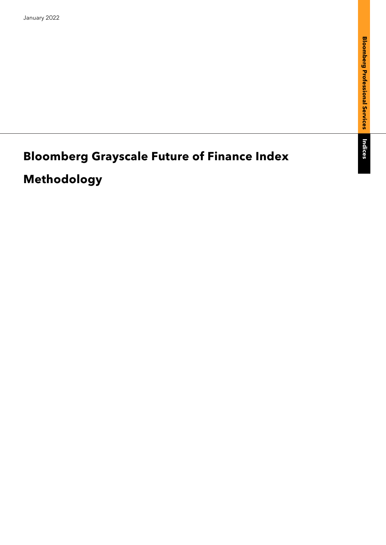Indices

# **Bloomberg Grayscale Future of Finance Index**

## **Methodology**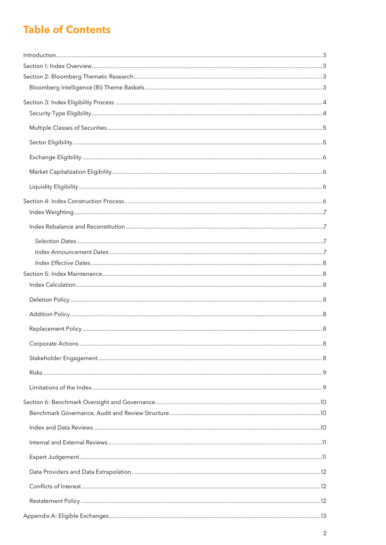## **Table of Contents**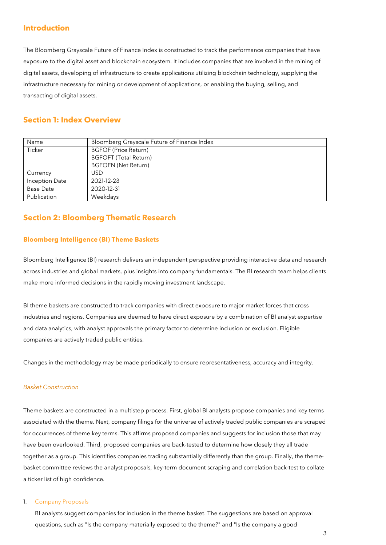## <span id="page-2-0"></span>**Introduction**

The Bloomberg Grayscale Future of Finance Index is constructed to track the performance companies that have exposure to the digital asset and blockchain ecosystem. It includes companies that are involved in the mining of digital assets, developing of infrastructure to create applications utilizing blockchain technology, supplying the infrastructure necessary for mining or development of applications, or enabling the buying, selling, and transacting of digital assets.

## <span id="page-2-1"></span>**Section 1: Index Overview**

| Name                  | Bloomberg Grayscale Future of Finance Index |  |  |
|-----------------------|---------------------------------------------|--|--|
| Ticker                | <b>BGFOF (Price Return)</b>                 |  |  |
|                       | <b>BGFOFT (Total Return)</b>                |  |  |
|                       | <b>BGFOFN (Net Return)</b>                  |  |  |
| Currency              | <b>USD</b>                                  |  |  |
| <b>Inception Date</b> | 2021-12-23                                  |  |  |
| <b>Base Date</b>      | 2020-12-31                                  |  |  |
| Publication           | Weekdays                                    |  |  |

## <span id="page-2-2"></span>**Section 2: Bloomberg Thematic Research**

#### <span id="page-2-3"></span>**Bloomberg Intelligence (BI) Theme Baskets**

Bloomberg Intelligence (BI) research delivers an independent perspective providing interactive data and research across industries and global markets, plus insights into company fundamentals. The BI research team helps clients make more informed decisions in the rapidly moving investment landscape.

BI theme baskets are constructed to track companies with direct exposure to major market forces that cross industries and regions. Companies are deemed to have direct exposure by a combination of BI analyst expertise and data analytics, with analyst approvals the primary factor to determine inclusion or exclusion. Eligible companies are actively traded public entities.

Changes in the methodology may be made periodically to ensure representativeness, accuracy and integrity.

#### *Basket Construction*

Theme baskets are constructed in a multistep process. First, global BI analysts propose companies and key terms associated with the theme. Next, company filings for the universe of actively traded public companies are scraped for occurrences of theme key terms. This affirms proposed companies and suggests for inclusion those that may have been overlooked. Third, proposed companies are back-tested to determine how closely they all trade together as a group. This identifies companies trading substantially differently than the group. Finally, the themebasket committee reviews the analyst proposals, key-term document scraping and correlation back-test to collate a ticker list of high confidence.

#### 1. Company Proposals

BI analysts suggest companies for inclusion in the theme basket. The suggestions are based on approval questions, such as "Is the company materially exposed to the theme?" and "Is the company a good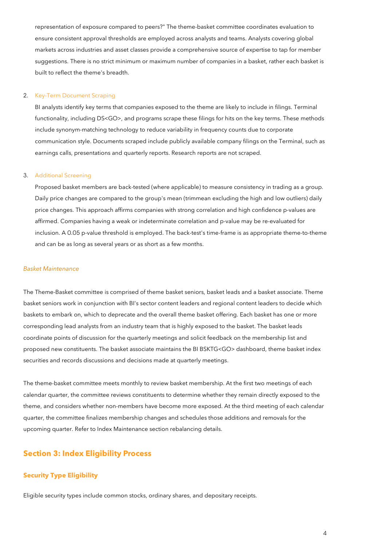representation of exposure compared to peers?" The theme-basket committee coordinates evaluation to ensure consistent approval thresholds are employed across analysts and teams. Analysts covering global markets across industries and asset classes provide a comprehensive source of expertise to tap for member suggestions. There is no strict minimum or maximum number of companies in a basket, rather each basket is built to reflect the theme's breadth.

#### 2. Key-Term Document Scraping

BI analysts identify key terms that companies exposed to the theme are likely to include in filings. Terminal functionality, including DS<GO>, and programs scrape these filings for hits on the key terms. These methods include synonym-matching technology to reduce variability in frequency counts due to corporate communication style. Documents scraped include publicly available company filings on the Terminal, such as earnings calls, presentations and quarterly reports. Research reports are not scraped.

#### 3. Additional Screening

Proposed basket members are back-tested (where applicable) to measure consistency in trading as a group. Daily price changes are compared to the group's mean (trimmean excluding the high and low outliers) daily price changes. This approach affirms companies with strong correlation and high confidence p-values are affirmed. Companies having a weak or indeterminate correlation and p-value may be re-evaluated for inclusion. A 0.05 p-value threshold is employed. The back-test's time-frame is as appropriate theme-to-theme and can be as long as several years or as short as a few months.

#### *Basket Maintenance*

The Theme-Basket committee is comprised of theme basket seniors, basket leads and a basket associate. Theme basket seniors work in conjunction with BI's sector content leaders and regional content leaders to decide which baskets to embark on, which to deprecate and the overall theme basket offering. Each basket has one or more corresponding lead analysts from an industry team that is highly exposed to the basket. The basket leads coordinate points of discussion for the quarterly meetings and solicit feedback on the membership list and proposed new constituents. The basket associate maintains the BI BSKTG<GO> dashboard, theme basket index securities and records discussions and decisions made at quarterly meetings.

The theme-basket committee meets monthly to review basket membership. At the first two meetings of each calendar quarter, the committee reviews constituents to determine whether they remain directly exposed to the theme, and considers whether non-members have become more exposed. At the third meeting of each calendar quarter, the committee finalizes membership changes and schedules those additions and removals for the upcoming quarter. Refer to Index Maintenance section rebalancing details.

## <span id="page-3-0"></span>**Section 3: Index Eligibility Process**

#### <span id="page-3-1"></span>**Security Type Eligibility**

Eligible security types include common stocks, ordinary shares, and depositary receipts.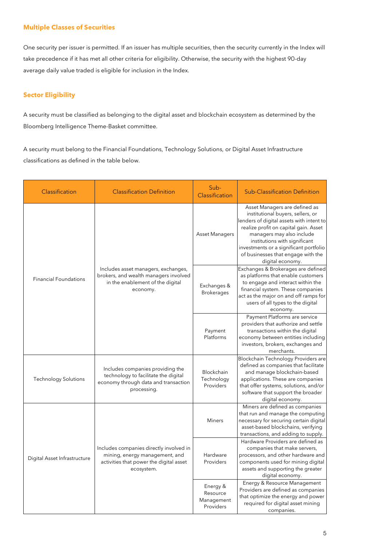#### <span id="page-4-0"></span>**Multiple Classes of Securities**

One security per issuer is permitted. If an issuer has multiple securities, then the security currently in the Index will take precedence if it has met all other criteria for eligibility. Otherwise, the security with the highest 90-day average daily value traded is eligible for inclusion in the Index.

## <span id="page-4-1"></span>**Sector Eligibility**

A security must be classified as belonging to the digital asset and blockchain ecosystem as determined by the Bloomberg Intelligence Theme-Basket committee.

A security must belong to the Financial Foundations, Technology Solutions, or Digital Asset Infrastructure classifications as defined in the table below.

| Classification               | <b>Classification Definition</b>                                                                                                   | Sub-<br>Classification                          | <b>Sub-Classification Definition</b>                                                                                                                                                                                                                                                                                      |  |  |
|------------------------------|------------------------------------------------------------------------------------------------------------------------------------|-------------------------------------------------|---------------------------------------------------------------------------------------------------------------------------------------------------------------------------------------------------------------------------------------------------------------------------------------------------------------------------|--|--|
|                              | Asset Managers                                                                                                                     |                                                 | Asset Managers are defined as<br>institutional buyers, sellers, or<br>lenders of digital assets with intent to<br>realize profit on capital gain. Asset<br>managers may also include<br>institutions with significant<br>investments or a significant portfolio<br>of businesses that engage with the<br>digital economy. |  |  |
| <b>Financial Foundations</b> | Includes asset managers, exchanges,<br>brokers, and wealth managers involved<br>in the enablement of the digital<br>economy.       | Exchanges &<br><b>Brokerages</b>                | Exchanges & Brokerages are defined<br>as platforms that enable customers<br>to engage and interact within the<br>financial system. These companies<br>act as the major on and off ramps for<br>users of all types to the digital<br>economy.                                                                              |  |  |
|                              |                                                                                                                                    | Payment<br>Platforms                            | Payment Platforms are service<br>providers that authorize and settle<br>transactions within the digital<br>economy between entities including<br>investors, brokers, exchanges and<br>merchants.                                                                                                                          |  |  |
| <b>Technology Solutions</b>  | Includes companies providing the<br>technology to facilitate the digital<br>economy through data and transaction<br>processing.    | Blockchain<br>Technology<br>Providers           | Blockchain Technology Providers are<br>defined as companies that facilitate<br>and manage blockchain-based<br>applications. These are companies<br>that offer systems, solutions, and/or<br>software that support the broader<br>digital economy.                                                                         |  |  |
|                              |                                                                                                                                    | <b>Miners</b>                                   | Miners are defined as companies<br>that run and manage the computing<br>necessary for securing certain digital<br>asset-based blockchains, verifying<br>transactions, and adding to supply.                                                                                                                               |  |  |
| Digital Asset Infrastructure | Includes companies directly involved in<br>mining, energy management, and<br>activities that power the digital asset<br>ecosystem. | Hardware<br>Providers                           | Hardware Providers are defined as<br>companies that make servers,<br>processors, and other hardware and<br>components used for mining digital<br>assets and supporting the greater<br>digital economy.                                                                                                                    |  |  |
|                              |                                                                                                                                    | Energy &<br>Resource<br>Management<br>Providers | Energy & Resource Management<br>Providers are defined as companies<br>that optimize the energy and power<br>required for digital asset mining<br>companies.                                                                                                                                                               |  |  |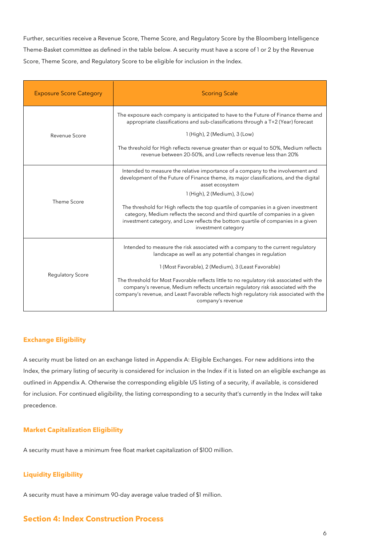Further, securities receive a Revenue Score, Theme Score, and Regulatory Score by the Bloomberg Intelligence Theme-Basket committee as defined in the table below. A security must have a score of 1 or 2 by the Revenue Score, Theme Score, and Regulatory Score to be eligible for inclusion in the Index.

| <b>Exposure Score Category</b> | <b>Scoring Scale</b>                                                                                                                                                                                                                                                                            |  |  |
|--------------------------------|-------------------------------------------------------------------------------------------------------------------------------------------------------------------------------------------------------------------------------------------------------------------------------------------------|--|--|
|                                | The exposure each company is anticipated to have to the Future of Finance theme and<br>appropriate classifications and sub-classifications through a T+2 (Year) forecast                                                                                                                        |  |  |
| Revenue Score                  | 1 (High), 2 (Medium), 3 (Low)                                                                                                                                                                                                                                                                   |  |  |
|                                | The threshold for High reflects revenue greater than or equal to 50%, Medium reflects<br>revenue between 20-50%, and Low reflects revenue less than 20%                                                                                                                                         |  |  |
|                                | Intended to measure the relative importance of a company to the involvement and<br>development of the Future of Finance theme, its major classifications, and the digital<br>asset ecosystem                                                                                                    |  |  |
| Theme Score                    | 1 (High), 2 (Medium), 3 (Low)                                                                                                                                                                                                                                                                   |  |  |
|                                | The threshold for High reflects the top quartile of companies in a given investment<br>category, Medium reflects the second and third quartile of companies in a given<br>investment category, and Low reflects the bottom quartile of companies in a given<br>investment category              |  |  |
|                                | Intended to measure the risk associated with a company to the current regulatory<br>landscape as well as any potential changes in regulation                                                                                                                                                    |  |  |
| <b>Regulatory Score</b>        | 1 (Most Favorable), 2 (Medium), 3 (Least Favorable)                                                                                                                                                                                                                                             |  |  |
|                                | The threshold for Most Favorable reflects little to no regulatory risk associated with the<br>company's revenue, Medium reflects uncertain requlatory risk associated with the<br>company's revenue, and Least Favorable reflects high regulatory risk associated with the<br>company's revenue |  |  |

#### <span id="page-5-0"></span>**Exchange Eligibility**

A security must be listed on an exchange listed in Appendix A: Eligible Exchanges. For new additions into the Index, the primary listing of security is considered for inclusion in the Index if it is listed on an eligible exchange as outlined in Appendix A. Otherwise the corresponding eligible US listing of a security, if available, is considered for inclusion. For continued eligibility, the listing corresponding to a security that's currently in the Index will take precedence.

#### <span id="page-5-1"></span>**Market Capitalization Eligibility**

A security must have a minimum free float market capitalization of \$100 million.

## <span id="page-5-2"></span>**Liquidity Eligibility**

A security must have a minimum 90-day average value traded of \$1 million.

## <span id="page-5-3"></span>**Section 4: Index Construction Process**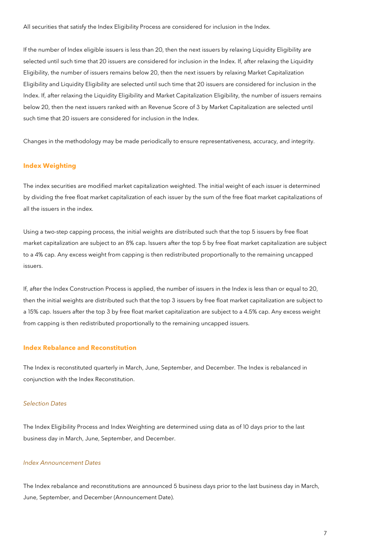All securities that satisfy the Index Eligibility Process are considered for inclusion in the Index.

If the number of Index eligible issuers is less than 20, then the next issuers by relaxing Liquidity Eligibility are selected until such time that 20 issuers are considered for inclusion in the Index. If, after relaxing the Liquidity Eligibility, the number of issuers remains below 20, then the next issuers by relaxing Market Capitalization Eligibility and Liquidity Eligibility are selected until such time that 20 issuers are considered for inclusion in the Index. If, after relaxing the Liquidity Eligibility and Market Capitalization Eligibility, the number of issuers remains below 20, then the next issuers ranked with an Revenue Score of 3 by Market Capitalization are selected until such time that 20 issuers are considered for inclusion in the Index.

Changes in the methodology may be made periodically to ensure representativeness, accuracy, and integrity.

#### <span id="page-6-0"></span>**Index Weighting**

The index securities are modified market capitalization weighted. The initial weight of each issuer is determined by dividing the free float market capitalization of each issuer by the sum of the free float market capitalizations of all the issuers in the index.

Using a two-step capping process, the initial weights are distributed such that the top 5 issuers by free float market capitalization are subject to an 8% cap. Issuers after the top 5 by free float market capitalization are subject to a 4% cap. Any excess weight from capping is then redistributed proportionally to the remaining uncapped issuers.

If, after the Index Construction Process is applied, the number of issuers in the Index is less than or equal to 20, then the initial weights are distributed such that the top 3 issuers by free float market capitalization are subject to a 15% cap. Issuers after the top 3 by free float market capitalization are subject to a 4.5% cap. Any excess weight from capping is then redistributed proportionally to the remaining uncapped issuers.

#### <span id="page-6-1"></span>**Index Rebalance and Reconstitution**

The Index is reconstituted quarterly in March, June, September, and December. The Index is rebalanced in conjunction with the Index Reconstitution.

#### <span id="page-6-2"></span>*Selection Dates*

The Index Eligibility Process and Index Weighting are determined using data as of 10 days prior to the last business day in March, June, September, and December.

#### <span id="page-6-3"></span>*Index Announcement Dates*

The Index rebalance and reconstitutions are announced 5 business days prior to the last business day in March, June, September, and December (Announcement Date).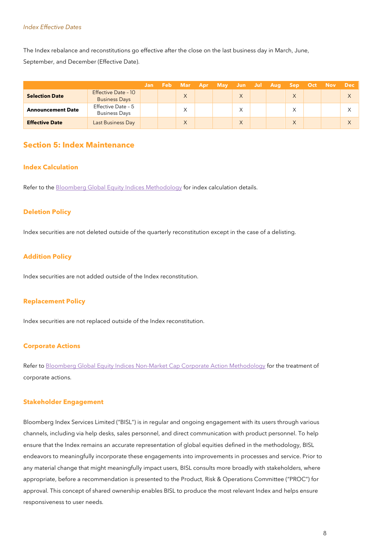#### <span id="page-7-0"></span>*Index Effective Dates*

The Index rebalance and reconstitutions go effective after the close on the last business day in March, June, September, and December (Effective Date).

|                          |                                             |  |              | Jan Feb Mar Apr May Jun Jul Aug Sep Oct Nov Dec |              |  |          |  |  |
|--------------------------|---------------------------------------------|--|--------------|-------------------------------------------------|--------------|--|----------|--|--|
| <b>Selection Date</b>    | Effective Date - 10<br><b>Business Days</b> |  | $\vee$       |                                                 | $\times$     |  | $\times$ |  |  |
| <b>Announcement Date</b> | Effective Date - 5<br><b>Business Days</b>  |  | $\checkmark$ |                                                 | $\checkmark$ |  | Χ        |  |  |
| <b>Effective Date</b>    | Last Business Day                           |  | $\vee$<br>∧  |                                                 | X            |  | X        |  |  |

## <span id="page-7-1"></span>**Section 5: Index Maintenance**

#### <span id="page-7-2"></span>**Index Calculation**

Refer to the [Bloomberg Global Equity Indices Methodology](https://www.bloomberg.com/professional/product/indices/bloomberg-equity-indices-resources/) for index calculation details.

#### <span id="page-7-3"></span>**Deletion Policy**

Index securities are not deleted outside of the quarterly reconstitution except in the case of a delisting.

#### <span id="page-7-4"></span>**Addition Policy**

Index securities are not added outside of the Index reconstitution.

#### <span id="page-7-5"></span>**Replacement Policy**

Index securities are not replaced outside of the Index reconstitution.

#### <span id="page-7-6"></span>**Corporate Actions**

Refer t[o Bloomberg Global Equity Indices Non-Market Cap Corporate Action Methodology](https://www.bloomberg.com/professional/product/indices/bloomberg-equity-indices-resources/) for the treatment of corporate actions.

#### <span id="page-7-7"></span>**Stakeholder Engagement**

Bloomberg Index Services Limited ("BISL") is in regular and ongoing engagement with its users through various channels, including via help desks, sales personnel, and direct communication with product personnel. To help ensure that the Index remains an accurate representation of global equities defined in the methodology, BISL endeavors to meaningfully incorporate these engagements into improvements in processes and service. Prior to any material change that might meaningfully impact users, BISL consults more broadly with stakeholders, where appropriate, before a recommendation is presented to the Product, Risk & Operations Committee ("PROC") for approval. This concept of shared ownership enables BISL to produce the most relevant Index and helps ensure responsiveness to user needs.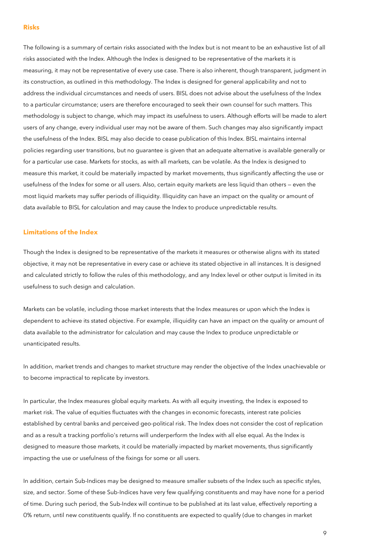#### <span id="page-8-0"></span>**Risks**

The following is a summary of certain risks associated with the Index but is not meant to be an exhaustive list of all risks associated with the Index. Although the Index is designed to be representative of the markets it is measuring, it may not be representative of every use case. There is also inherent, though transparent, judgment in its construction, as outlined in this methodology. The Index is designed for general applicability and not to address the individual circumstances and needs of users. BISL does not advise about the usefulness of the Index to a particular circumstance; users are therefore encouraged to seek their own counsel for such matters. This methodology is subject to change, which may impact its usefulness to users. Although efforts will be made to alert users of any change, every individual user may not be aware of them. Such changes may also significantly impact the usefulness of the Index. BISL may also decide to cease publication of this Index. BISL maintains internal policies regarding user transitions, but no guarantee is given that an adequate alternative is available generally or for a particular use case. Markets for stocks, as with all markets, can be volatile. As the Index is designed to measure this market, it could be materially impacted by market movements, thus significantly affecting the use or usefulness of the Index for some or all users. Also, certain equity markets are less liquid than others — even the most liquid markets may suffer periods of illiquidity. Illiquidity can have an impact on the quality or amount of data available to BISL for calculation and may cause the Index to produce unpredictable results.

#### <span id="page-8-1"></span>**Limitations of the Index**

Though the Index is designed to be representative of the markets it measures or otherwise aligns with its stated objective, it may not be representative in every case or achieve its stated objective in all instances. It is designed and calculated strictly to follow the rules of this methodology, and any Index level or other output is limited in its usefulness to such design and calculation.

Markets can be volatile, including those market interests that the Index measures or upon which the Index is dependent to achieve its stated objective. For example, illiquidity can have an impact on the quality or amount of data available to the administrator for calculation and may cause the Index to produce unpredictable or unanticipated results.

In addition, market trends and changes to market structure may render the objective of the Index unachievable or to become impractical to replicate by investors.

In particular, the Index measures global equity markets. As with all equity investing, the Index is exposed to market risk. The value of equities fluctuates with the changes in economic forecasts, interest rate policies established by central banks and perceived geo-political risk. The Index does not consider the cost of replication and as a result a tracking portfolio's returns will underperform the Index with all else equal. As the Index is designed to measure those markets, it could be materially impacted by market movements, thus significantly impacting the use or usefulness of the fixings for some or all users.

In addition, certain Sub-Indices may be designed to measure smaller subsets of the Index such as specific styles, size, and sector. Some of these Sub-Indices have very few qualifying constituents and may have none for a period of time. During such period, the Sub-Index will continue to be published at its last value, effectively reporting a 0% return, until new constituents qualify. If no constituents are expected to qualify (due to changes in market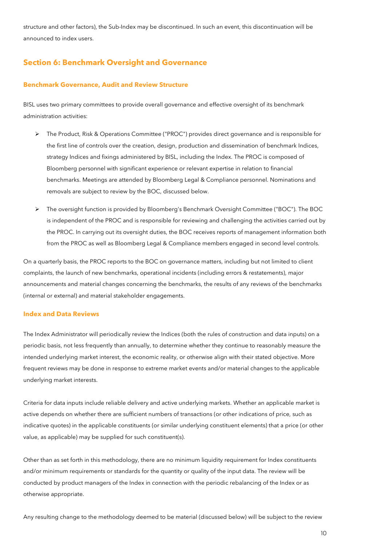structure and other factors), the Sub-Index may be discontinued. In such an event, this discontinuation will be announced to index users.

## <span id="page-9-0"></span>**Section 6: Benchmark Oversight and Governance**

#### <span id="page-9-1"></span>**Benchmark Governance, Audit and Review Structure**

BISL uses two primary committees to provide overall governance and effective oversight of its benchmark administration activities:

- The Product, Risk & Operations Committee ("PROC") provides direct governance and is responsible for the first line of controls over the creation, design, production and dissemination of benchmark Indices, strategy Indices and fixings administered by BISL, including the Index. The PROC is composed of Bloomberg personnel with significant experience or relevant expertise in relation to financial benchmarks. Meetings are attended by Bloomberg Legal & Compliance personnel. Nominations and removals are subject to review by the BOC, discussed below.
- The oversight function is provided by Bloomberg's Benchmark Oversight Committee ("BOC"). The BOC is independent of the PROC and is responsible for reviewing and challenging the activities carried out by the PROC. In carrying out its oversight duties, the BOC receives reports of management information both from the PROC as well as Bloomberg Legal & Compliance members engaged in second level controls.

On a quarterly basis, the PROC reports to the BOC on governance matters, including but not limited to client complaints, the launch of new benchmarks, operational incidents (including errors & restatements), major announcements and material changes concerning the benchmarks, the results of any reviews of the benchmarks (internal or external) and material stakeholder engagements.

#### <span id="page-9-2"></span>**Index and Data Reviews**

The Index Administrator will periodically review the Indices (both the rules of construction and data inputs) on a periodic basis, not less frequently than annually, to determine whether they continue to reasonably measure the intended underlying market interest, the economic reality, or otherwise align with their stated objective. More frequent reviews may be done in response to extreme market events and/or material changes to the applicable underlying market interests.

Criteria for data inputs include reliable delivery and active underlying markets. Whether an applicable market is active depends on whether there are sufficient numbers of transactions (or other indications of price, such as indicative quotes) in the applicable constituents (or similar underlying constituent elements) that a price (or other value, as applicable) may be supplied for such constituent(s).

Other than as set forth in this methodology, there are no minimum liquidity requirement for Index constituents and/or minimum requirements or standards for the quantity or quality of the input data. The review will be conducted by product managers of the Index in connection with the periodic rebalancing of the Index or as otherwise appropriate.

Any resulting change to the methodology deemed to be material (discussed below) will be subject to the review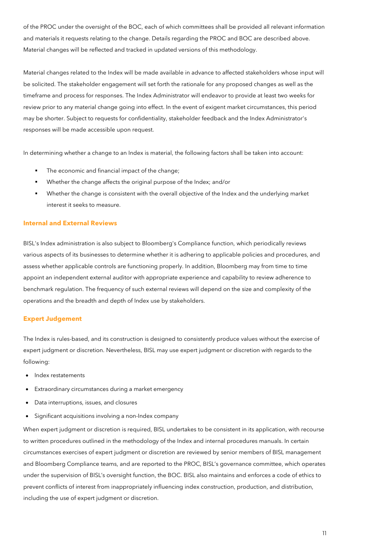of the PROC under the oversight of the BOC, each of which committees shall be provided all relevant information and materials it requests relating to the change. Details regarding the PROC and BOC are described above. Material changes will be reflected and tracked in updated versions of this methodology.

Material changes related to the Index will be made available in advance to affected stakeholders whose input will be solicited. The stakeholder engagement will set forth the rationale for any proposed changes as well as the timeframe and process for responses. The Index Administrator will endeavor to provide at least two weeks for review prior to any material change going into effect. In the event of exigent market circumstances, this period may be shorter. Subject to requests for confidentiality, stakeholder feedback and the Index Administrator's responses will be made accessible upon request.

In determining whether a change to an Index is material, the following factors shall be taken into account:

- The economic and financial impact of the change;
- Whether the change affects the original purpose of the Index; and/or
- Whether the change is consistent with the overall objective of the Index and the underlying market interest it seeks to measure.

#### <span id="page-10-0"></span>**Internal and External Reviews**

BISL's Index administration is also subject to Bloomberg's Compliance function, which periodically reviews various aspects of its businesses to determine whether it is adhering to applicable policies and procedures, and assess whether applicable controls are functioning properly. In addition, Bloomberg may from time to time appoint an independent external auditor with appropriate experience and capability to review adherence to benchmark regulation. The frequency of such external reviews will depend on the size and complexity of the operations and the breadth and depth of Index use by stakeholders.

#### <span id="page-10-1"></span>**Expert Judgement**

The Index is rules-based, and its construction is designed to consistently produce values without the exercise of expert judgment or discretion. Nevertheless, BISL may use expert judgment or discretion with regards to the following:

- Index restatements
- Extraordinary circumstances during a market emergency
- Data interruptions, issues, and closures
- Significant acquisitions involving a non-Index company

When expert judgment or discretion is required, BISL undertakes to be consistent in its application, with recourse to written procedures outlined in the methodology of the Index and internal procedures manuals. In certain circumstances exercises of expert judgment or discretion are reviewed by senior members of BISL management and Bloomberg Compliance teams, and are reported to the PROC, BISL's governance committee, which operates under the supervision of BISL's oversight function, the BOC. BISL also maintains and enforces a code of ethics to prevent conflicts of interest from inappropriately influencing index construction, production, and distribution, including the use of expert judgment or discretion.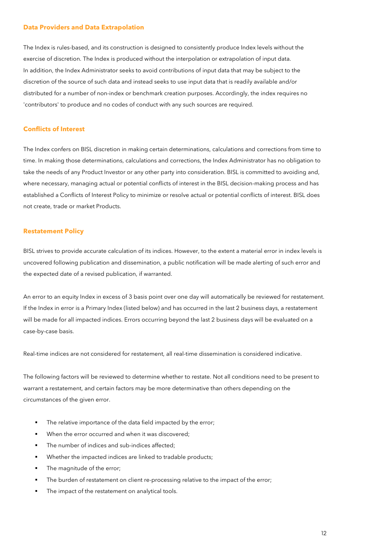#### <span id="page-11-0"></span>**Data Providers and Data Extrapolation**

The Index is rules-based, and its construction is designed to consistently produce Index levels without the exercise of discretion. The Index is produced without the interpolation or extrapolation of input data. In addition, the Index Administrator seeks to avoid contributions of input data that may be subject to the discretion of the source of such data and instead seeks to use input data that is readily available and/or distributed for a number of non-index or benchmark creation purposes. Accordingly, the index requires no 'contributors' to produce and no codes of conduct with any such sources are required.

#### <span id="page-11-1"></span>**Conflicts of Interest**

The Index confers on BISL discretion in making certain determinations, calculations and corrections from time to time. In making those determinations, calculations and corrections, the Index Administrator has no obligation to take the needs of any Product Investor or any other party into consideration. BISL is committed to avoiding and, where necessary, managing actual or potential conflicts of interest in the BISL decision-making process and has established a Conflicts of Interest Policy to minimize or resolve actual or potential conflicts of interest. BISL does not create, trade or market Products.

#### <span id="page-11-2"></span>**Restatement Policy**

BISL strives to provide accurate calculation of its indices. However, to the extent a material error in index levels is uncovered following publication and dissemination, a public notification will be made alerting of such error and the expected date of a revised publication, if warranted.

An error to an equity Index in excess of 3 basis point over one day will automatically be reviewed for restatement. If the Index in error is a Primary Index (listed below) and has occurred in the last 2 business days, a restatement will be made for all impacted indices. Errors occurring beyond the last 2 business days will be evaluated on a case-by-case basis.

Real-time indices are not considered for restatement, all real-time dissemination is considered indicative.

The following factors will be reviewed to determine whether to restate. Not all conditions need to be present to warrant a restatement, and certain factors may be more determinative than others depending on the circumstances of the given error.

- The relative importance of the data field impacted by the error;
- When the error occurred and when it was discovered;
- The number of indices and sub-indices affected;
- Whether the impacted indices are linked to tradable products;
- The magnitude of the error;
- The burden of restatement on client re-processing relative to the impact of the error;
- The impact of the restatement on analytical tools.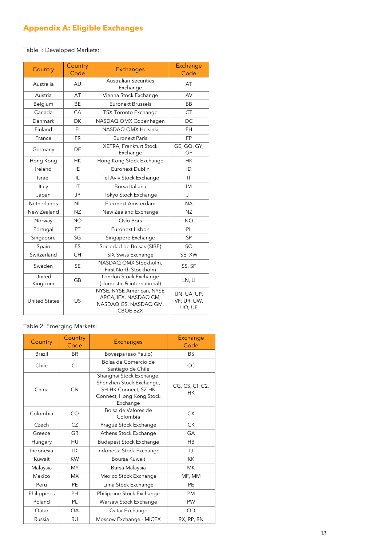## <span id="page-12-0"></span>**Appendix A: Eligible Exchanges**

Table 1: Developed Markets:

| Country              | Country<br>Code | <b>Exchanges</b>                                                                                                                       | Exchange<br>Code  |  |
|----------------------|-----------------|----------------------------------------------------------------------------------------------------------------------------------------|-------------------|--|
| Australia            | AU              | <b>Australian Securities</b><br>Exchange                                                                                               | AT                |  |
| Austria              | AT              | Vienna Stock Exchange                                                                                                                  | AV                |  |
| Belgium              | <b>BE</b>       | Euronext Brussels                                                                                                                      | BB                |  |
| Canada               | CA              | <b>TSX Toronto Exchange</b>                                                                                                            | <b>CT</b>         |  |
| Denmark              | DK              | NASDAQ OMX Copenhagen                                                                                                                  | <b>DC</b>         |  |
| Finland              | FI.             | NASDAO OMX Helsinki                                                                                                                    | FH.               |  |
| France               | FR              | Euronext Paris                                                                                                                         | FP                |  |
| Germany              | DE              | <b>XETRA, Frankfurt Stock</b><br>Exchange                                                                                              | GE, GQ, GY,<br>GF |  |
| Hong Kong            | <b>HK</b>       | Hong Kong Stock Exchange                                                                                                               | <b>HK</b>         |  |
| Ireland              | IE              | Euronext Dublin                                                                                                                        | ID                |  |
| Israel               | IL              | Tel Aviv Stock Exchange                                                                                                                | IT                |  |
| Italy                | ΙT              | Borsa Italiana                                                                                                                         | IM                |  |
| Japan                | JP              | Tokyo Stock Exchange                                                                                                                   | JT.               |  |
| <b>Netherlands</b>   | <b>NL</b>       | Euronext Amsterdam                                                                                                                     | <b>NA</b>         |  |
| New Zealand          | NZ              | New Zealand Exchange                                                                                                                   | <b>NZ</b>         |  |
| Norway               | <b>NO</b>       | Oslo Bors                                                                                                                              | <b>NO</b>         |  |
| Portugal             | PT              | Euronext Lisbon                                                                                                                        | PL                |  |
| Singapore            | SG              | Singapore Exchange                                                                                                                     | <b>SP</b>         |  |
| Spain                | ES              | Sociedad de Bolsas (SIBE)                                                                                                              | <b>SQ</b>         |  |
| Switzerland          | <b>CH</b>       | SIX Swiss Exchange                                                                                                                     | SE, XW            |  |
| Sweden               | <b>SE</b>       | NASDAQ OMX Stockholm,<br>First North Stockholm                                                                                         | SS, SF            |  |
| United<br>Kingdom    | GB              | London Stock Exchange<br>(domestic & international)                                                                                    | LN, LI            |  |
| <b>United States</b> | US              | NYSE, NYSE American, NYSE<br>UN, UA, UP,<br>ARCA, IEX, NASDAQ CM,<br>VF, UR, UW,<br>NASDAQ GS, NASDAQ GM,<br>UQ, UF<br><b>CBOE BZX</b> |                   |  |

### Table 2: Emerging Markets:

| Country     | Country<br>Code | <b>Exchanges</b>                                                                                                     | Exchange<br>Code      |  |
|-------------|-----------------|----------------------------------------------------------------------------------------------------------------------|-----------------------|--|
| Brazil      | <b>BR</b>       | Bovespa (sao Paulo)                                                                                                  | <b>BS</b>             |  |
| Chile       | <b>CL</b>       | Bolsa de Comercio de<br>Santiago de Chile                                                                            | CC                    |  |
| China       | <b>CN</b>       | Shanghai Stock Exchange,<br>Shenzhen Stock Exchange,<br>SH-HK Connect, SZ-HK<br>Connect, Hong Kong Stock<br>Exchange | CG, CS, C1, C2,<br>HК |  |
| Colombia    | CO              | Bolsa de Valores de<br>Colombia                                                                                      | <b>CX</b>             |  |
| Czech       | CZ              | Prague Stock Exchange                                                                                                | <b>CK</b>             |  |
| Greece      | GR              | Athens Stock Exchange                                                                                                | GA                    |  |
| Hungary     | HU              | <b>Budapest Stock Exchange</b>                                                                                       | HB                    |  |
| Indonesia   | ID              | Indonesia Stock Exchange                                                                                             | IJ                    |  |
| Kuwait      | <b>KW</b>       | Boursa Kuwait                                                                                                        | KK                    |  |
| Malaysia    | <b>MY</b>       | Bursa Malaysia                                                                                                       | <b>MK</b>             |  |
| Mexico      | <b>MX</b>       | Mexico Stock Exchange                                                                                                | MF, MM                |  |
| Peru        | PE              | Lima Stock Exchange                                                                                                  | PE                    |  |
| Philippines | <b>PH</b>       | Philippine Stock Exchange                                                                                            | <b>PM</b>             |  |
| Poland      | PL              | Warsaw Stock Exchange                                                                                                | PW                    |  |
| Qatar       | QA              | Qatar Exchange                                                                                                       | QD                    |  |
| Russia      | <b>RU</b>       | Moscow Exchange - MICEX<br>RX, RP, RN                                                                                |                       |  |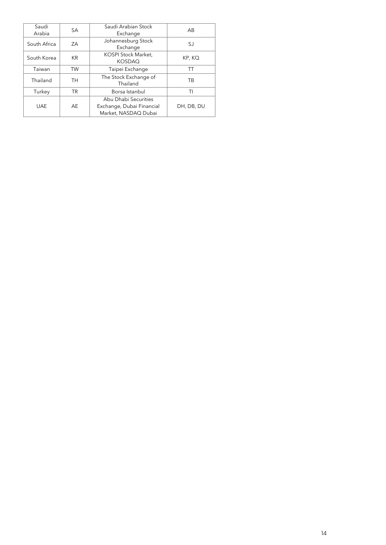| Saudi<br>Arabia | <b>SA</b> | Saudi Arabian Stock<br>Exchange                                           | AB         |
|-----------------|-----------|---------------------------------------------------------------------------|------------|
| South Africa    | ZΑ        | Johannesburg Stock<br>Exchange                                            | SJ         |
| South Korea     | <b>KR</b> | KOSPI Stock Market,<br><b>KOSDAQ</b>                                      | KP, KQ     |
| Taiwan          | <b>TW</b> | Taipei Exchange                                                           | TТ         |
| Thailand        | TH        | The Stock Exchange of<br>Thailand                                         | ТB         |
| Turkey          | <b>TR</b> | Borsa Istanbul                                                            | TI         |
| <b>UAE</b>      | AE        | Abu Dhabi Securities<br>Exchange, Dubai Financial<br>Market, NASDAQ Dubai | DH, DB, DU |